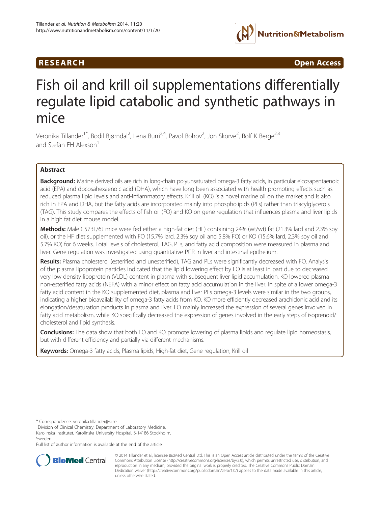## R E S EAR CH Open Access



# Fish oil and krill oil supplementations differentially regulate lipid catabolic and synthetic pathways in mice

Veronika Tillander<sup>1\*</sup>, Bodil Bjørndal<sup>2</sup>, Lena Burri<sup>2,4</sup>, Pavol Bohov<sup>2</sup>, Jon Skorve<sup>2</sup>, Rolf K Berge<sup>2,3</sup> and Stefan FH Alexson<sup>1</sup>

## Abstract

Background: Marine derived oils are rich in long-chain polyunsaturated omega-3 fatty acids, in particular eicosapentaenoic acid (EPA) and docosahexaenoic acid (DHA), which have long been associated with health promoting effects such as reduced plasma lipid levels and anti-inflammatory effects. Krill oil (KO) is a novel marine oil on the market and is also rich in EPA and DHA, but the fatty acids are incorporated mainly into phospholipids (PLs) rather than triacylglycerols (TAG). This study compares the effects of fish oil (FO) and KO on gene regulation that influences plasma and liver lipids in a high fat diet mouse model.

Methods: Male C57BL/6J mice were fed either a high-fat diet (HF) containing 24% (wt/wt) fat (21.3% lard and 2.3% soy oil), or the HF diet supplemented with FO (15.7% lard, 2.3% soy oil and 5.8% FO) or KO (15.6% lard, 2.3% soy oil and 5.7% KO) for 6 weeks. Total levels of cholesterol, TAG, PLs, and fatty acid composition were measured in plasma and liver. Gene regulation was investigated using quantitative PCR in liver and intestinal epithelium.

Results: Plasma cholesterol (esterified and unesterified), TAG and PLs were significantly decreased with FO. Analysis of the plasma lipoprotein particles indicated that the lipid lowering effect by FO is at least in part due to decreased very low density lipoprotein (VLDL) content in plasma with subsequent liver lipid accumulation. KO lowered plasma non-esterified fatty acids (NEFA) with a minor effect on fatty acid accumulation in the liver. In spite of a lower omega-3 fatty acid content in the KO supplemented diet, plasma and liver PLs omega-3 levels were similar in the two groups, indicating a higher bioavailability of omega-3 fatty acids from KO. KO more efficiently decreased arachidonic acid and its elongation/desaturation products in plasma and liver. FO mainly increased the expression of several genes involved in fatty acid metabolism, while KO specifically decreased the expression of genes involved in the early steps of isoprenoid/ cholesterol and lipid synthesis.

**Conclusions:** The data show that both FO and KO promote lowering of plasma lipids and regulate lipid homeostasis, but with different efficiency and partially via different mechanisms.

Keywords: Omega-3 fatty acids, Plasma lipids, High-fat diet, Gene regulation, Krill oil

\* Correspondence: [veronika.tillander@ki.se](mailto:veronika.tillander@ki.se) <sup>1</sup>

Division of Clinical Chemistry, Department of Laboratory Medicine,

Karolinska Institutet, Karolinska University Hospital, S-14186 Stockholm, Sweden

Full list of author information is available at the end of the article



© 2014 Tillander et al.; licensee BioMed Central Ltd. This is an Open Access article distributed under the terms of the Creative Commons Attribution License [\(http://creativecommons.org/licenses/by/2.0\)](http://creativecommons.org/licenses/by/2.0), which permits unrestricted use, distribution, and reproduction in any medium, provided the original work is properly credited. The Creative Commons Public Domain Dedication waiver [\(http://creativecommons.org/publicdomain/zero/1.0/](http://creativecommons.org/publicdomain/zero/1.0/)) applies to the data made available in this article, unless otherwise stated.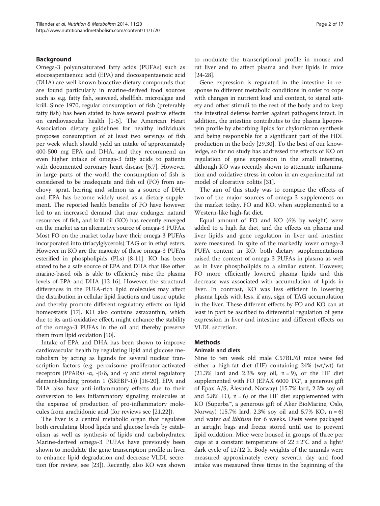## Background

Omega-3 polyunsaturated fatty acids (PUFAs) such as eiocosapentaenoic acid (EPA) and docosapentaenoic acid (DHA) are well known bioactive dietary compounds that are found particularly in marine-derived food sources such as e.g. fatty fish, seaweed, shellfish, microalgae and krill. Since 1970, regular consumption of fish (preferably fatty fish) has been stated to have several positive effects on cardiovascular health [\[1](#page-14-0)-[5\]](#page-14-0). The American Heart Association dietary guidelines for healthy individuals proposes consumption of at least two servings of fish per week which should yield an intake of approximately 400-500 mg EPA and DHA, and they recommend an even higher intake of omega-3 fatty acids to patients with documented coronary heart disease [[6,7\]](#page-14-0). However, in large parts of the world the consumption of fish is considered to be inadequate and fish oil (FO) from anchovy, sprat, herring and salmon as a source of DHA and EPA has become widely used as a dietary supplement. The reported health benefits of FO have however led to an increased demand that may endanger natural resources of fish, and krill oil (KO) has recently emerged on the market as an alternative source of omega-3 PUFAs. Most FO on the market today have their omega-3 PUFAs incorporated into (triacylglycerols) TAG or in ethyl esters. However in KO are the majority of these omega-3 PUFAs esterified in phospholipids (PLs) [[8](#page-14-0)-[11](#page-14-0)]. KO has been stated to be a safe source of EPA and DHA that like other marine-based oils is able to efficiently raise the plasma levels of EPA and DHA [\[12](#page-14-0)-[16](#page-15-0)]. However, the structural differences in the PUFA-rich lipid molecules may affect the distribution in cellular lipid fractions and tissue uptake and thereby promote different regulatory effects on lipid homeostasis [[17](#page-15-0)]. KO also contains astaxanthin, which due to its anti-oxidative effect, might enhance the stability of the omega-3 PUFAs in the oil and thereby preserve them from lipid oxidation [\[10](#page-14-0)].

Intake of EPA and DHA has been shown to improve cardiovascular health by regulating lipid and glucose metabolism by acting as ligands for several nuclear transcription factors (e.g. peroxisome proliferator-activated receptors (PPARs) - $\alpha$ , - $\beta$ /δ, and -γ and sterol regulatory element-binding protein 1 (SREBP-1)) [\[18-20](#page-15-0)]. EPA and DHA also have anti-inflammatory effects due to their conversion to less inflammatory signaling molecules at the expense of production of pro-inflammatory molecules from arachidonic acid (for reviews see [\[21,22](#page-15-0)]).

The liver is a central metabolic organ that regulates both circulating blood lipids and glucose levels by catabolism as well as synthesis of lipids and carbohydrates. Marine-derived omega-3 PUFAs have previously been shown to modulate the gene transcription profile in liver to enhance lipid degradation and decrease VLDL secretion (for review, see [\[23\]](#page-15-0)). Recently, also KO was shown to modulate the transcriptional profile in mouse and rat liver and to affect plasma and liver lipids in mice [[24-28](#page-15-0)].

Gene expression is regulated in the intestine in response to different metabolic conditions in order to cope with changes in nutrient load and content, to signal satiety and other stimuli to the rest of the body and to keep the intestinal defense barrier against pathogens intact. In addition, the intestine contributes to the plasma lipoprotein profile by absorbing lipids for chylomicron synthesis and being responsible for a significant part of the HDL production in the body [\[29,30](#page-15-0)]. To the best of our knowledge, so far no study has addressed the effects of KO on regulation of gene expression in the small intestine, although KO was recently shown to attenuate inflammation and oxidative stress in colon in an experimental rat model of ulcerative colitis [[31\]](#page-15-0).

The aim of this study was to compare the effects of two of the major sources of omega-3 supplements on the market today, FO and KO, when supplemented to a Western-like high-fat diet.

Equal amount of FO and KO (6% by weight) were added to a high fat diet, and the effects on plasma and liver lipids and gene regulation in liver and intestine were measured. In spite of the markedly lower omega-3 PUFA content in KO, both dietary supplementations raised the content of omega-3 PUFAs in plasma as well as in liver phospholipids to a similar extent. However, FO more efficiently lowered plasma lipids and this decrease was associated with accumulation of lipids in liver. In contrast, KO was less efficient in lowering plasma lipids with less, if any, sign of TAG accumulation in the liver. These different effects by FO and KO can at least in part be ascribed to differential regulation of gene expression in liver and intestine and different effects on VLDL secretion.

#### **Methods**

#### Animals and diets

Nine to ten week old male C57BL/6J mice were fed either a high-fat diet (HF) containing 24% (wt/wt) fat  $(21.3\%$  lard and 2.3% soy oil, n = 9), or the HF diet supplemented with FO (EPAX 6000  $TG^*$ , a generous gift of Epax A/S, Ålesund, Norway) (15.7% lard, 2.3% soy oil and 5.8% FO,  $n = 6$ ) or the HF diet supplemented with KO (Superba™, a generous gift of Aker BioMarine, Oslo, Norway) (15.7% lard, 2.3% soy oil and 5.7% KO, n = 6) and water ad libitum for 6 weeks. Diets were packaged in airtight bags and freeze stored until use to prevent lipid oxidation. Mice were housed in groups of three per cage at a constant temperature of  $22 \pm 2^{\circ}C$  and a light/ dark cycle of 12/12 h. Body weights of the animals were measured approximately every seventh day and food intake was measured three times in the beginning of the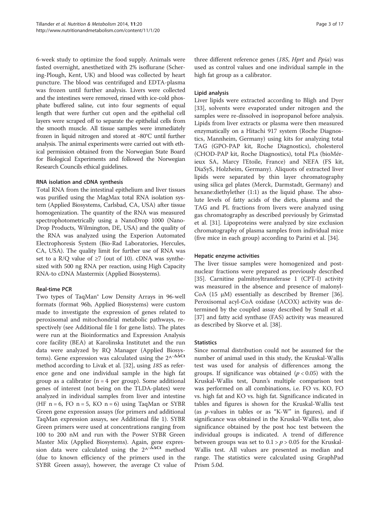6-week study to optimize the food supply. Animals were fasted overnight, anesthetized with 2% isoflurane (Schering-Plough, Kent, UK) and blood was collected by heart puncture. The blood was centrifuged and EDTA-plasma was frozen until further analysis. Livers were collected and the intestines were removed, rinsed with ice-cold phosphate buffered saline, cut into four segments of equal length that were further cut open and the epithelial cell layers were scraped off to separate the epithelial cells from the smooth muscle. All tissue samples were immediately frozen in liquid nitrogen and stored at -80°C until further analysis. The animal experiments were carried out with ethical permission obtained from the Norwegian State Board for Biological Experiments and followed the Norwegian Research Councils ethical guidelines.

## RNA isolation and cDNA synthesis

Total RNA from the intestinal epithelium and liver tissues was purified using the MagMax total RNA isolation system (Applied Biosystems, Carlsbad, CA, USA) after tissue homogenization. The quantity of the RNA was measured spectrophotometrically using a NanoDrop 1000 (Nano-Drop Products, Wilmington, DE, USA) and the quality of the RNA was analyzed using the Experion Automated Electrophoresis System (Bio-Rad Laboratories, Hercules, CA, USA). The quality limit for further use of RNA was set to a R/Q value of  $\geq$ 7 (out of 10). cDNA was synthesized with 500 ng RNA per reaction, using High Capacity RNA-to cDNA Mastermix (Applied Biosystems).

## Real-time PCR

Two types of TaqMan® Low Density Arrays in 96-well formats (format 96b, Applied Biosystems) were custom made to investigate the expression of genes related to peroxisomal and mitochondrial metabolic pathways, respectively (see Additional file [1](#page-14-0) for gene lists). The plates were run at the Bioinformatics and Expression Analysis core facility (BEA) at Karolinska Institutet and the run data were analyzed by RQ Manager (Applied Biosystems). Gene expression was calculated using the  $2^{\Lambda-\Delta\Delta Ct}$ method according to Livak et al. [\[32](#page-15-0)], using 18S as reference gene and one individual sample in the high fat group as a calibrator ( $n = 4$  per group). Some additional genes of interest (not being on the TLDA-plates) were analyzed in individual samples from liver and intestine (HF  $n = 6$ , FO  $n = 5$ , KO  $n = 6$ ) using TaqMan or SYBR Green gene expression assays (for primers and additional TaqMan expression assays, see Additional file [1](#page-14-0)). SYBR Green primers were used at concentrations ranging from 100 to 200 nM and run with the Power SYBR Green Master Mix (Applied Biosystems). Again, gene expression data were calculated using the  $2^{\Lambda-\Delta\Delta Ct}$  method (due to known efficiency of the primers used in the SYBR Green assay), however, the average Ct value of

three different reference genes (18S, Hprt and Ppia) was used as control values and one individual sample in the high fat group as a calibrator.

## Lipid analysis

Liver lipids were extracted according to Bligh and Dyer [[33\]](#page-15-0), solvents were evaporated under nitrogen and the samples were re-dissolved in isopropanol before analysis. Lipids from liver extracts or plasma were then measured enzymatically on a Hitachi 917 system (Roche Diagnostics, Mannheim, Germany) using kits for analyzing total TAG (GPO-PAP kit, Roche Diagnostics), cholesterol (CHOD-PAP kit, Roche Diagnostics), total PLs (bioMérieux SA, Marcy l'Etoile, France) and NEFA (FS kit, DiaSyS, Holzheim, Germany). Aliquots of extracted liver lipids were separated by thin layer chromatography using silica gel plates (Merck, Darmstadt, Germany) and hexane:diethylether (1:1) as the liquid phase. The absolute levels of fatty acids of the diets, plasma and the TAG and PL fractions from livers were analyzed using gas chromatography as described previously by Grimstad et al. [\[31\]](#page-15-0). Lipoproteins were analyzed by size exclusion chromatography of plasma samples from individual mice (five mice in each group) according to Parini et al. [[34\]](#page-15-0).

## Hepatic enzyme activities

The liver tissue samples were homogenized and postnuclear fractions were prepared as previously described [[35\]](#page-15-0). Carnitine palmitoyltransferase 1 (CPT-I) activity was measured in the absence and presence of malonyl-CoA (15 μM) essentially as described by Bremer [\[36](#page-15-0)]. Peroxisomal acyl-CoA oxidase (ACOX) activity was determined by the coupled assay described by Small et al. [[37\]](#page-15-0) and fatty acid synthase (FAS) activity was measured as described by Skorve et al. [[38](#page-15-0)].

## **Statistics**

Since normal distribution could not be assumed for the number of animal used in this study, the Kruskal-Wallis test was used for analysis of differences among the groups. If significance was obtained ( $p < 0.05$ ) with the Kruskal-Wallis test, Dunn's multiple comparison test was performed on all combinations, i.e. FO vs. KO, FO vs. high fat and KO vs. high fat. Significance indicated in tables and figures is shown for the Kruskal-Wallis test (as  $p$ -values in tables or as "K-W" in figures), and if significance was obtained in the Kruskal-Wallis test, also significance obtained by the post hoc test between the individual groups is indicated. A trend of difference between groups was set to  $0.1 > p > 0.05$  for the Kruskal-Wallis test. All values are presented as median and range. The statistics were calculated using GraphPad Prism 5.0d.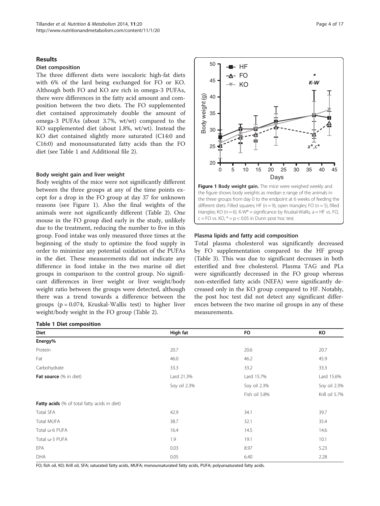#### Results

#### Diet composition

The three different diets were isocaloric high-fat diets with 6% of the lard being exchanged for FO or KO. Although both FO and KO are rich in omega-3 PUFAs, there were differences in the fatty acid amount and composition between the two diets. The FO supplemented diet contained approximately double the amount of omega-3 PUFAs (about 3.7%, wt/wt) compared to the KO supplemented diet (about 1.8%, wt/wt). Instead the KO diet contained slightly more saturated (C14:0 and C16:0) and monounsaturated fatty acids than the FO diet (see Table 1 and Additional file [2](#page-14-0)).

#### Body weight gain and liver weight

Body weights of the mice were not significantly different between the three groups at any of the time points except for a drop in the FO group at day 37 for unknown reasons (see Figure 1). Also the final weights of the animals were not significantly different (Table [2](#page-4-0)). One mouse in the FO group died early in the study, unlikely due to the treatment, reducing the number to five in this group. Food intake was only measured three times at the beginning of the study to optimize the food supply in order to minimize any potential oxidation of the PUFAs in the diet. These measurements did not indicate any difference in food intake in the two marine oil diet groups in comparison to the control group. No significant differences in liver weight or liver weight/body weight ratio between the groups were detected, although there was a trend towards a difference between the groups  $(p = 0.074,$  Kruskal-Wallis test) to higher liver weight/body weight in the FO group (Table [2\)](#page-4-0).

## Table 1 Diet composition



different diets. Filled squares; HF ( $n = 9$ ), open triangles; FO ( $n = 5$ ), filled triangles; KO ( $n = 6$ ). K-W<sup>\*</sup> = significance by Kruskal-Wallis,  $a = HF$  vs. FO,  $c = FO$  vs.  $KO, * = p < 0.05$  in Dunn post hoc test.

#### Plasma lipids and fatty acid composition

50

HF

Total plasma cholesterol was significantly decreased by FO supplementation compared to the HF group (Table [3\)](#page-4-0). This was due to significant decreases in both esterified and free cholesterol. Plasma TAG and PLs were significantly decreased in the FO group whereas non-esterified fatty acids (NEFA) were significantly decreased only in the KO group compared to HF. Notably, the post hoc test did not detect any significant differences between the two marine oil groups in any of these measurements.

| Diet                                         | High fat     | <b>FO</b>     | КO             |
|----------------------------------------------|--------------|---------------|----------------|
| Energy%                                      |              |               |                |
| Protein                                      | 20.7         | 20.6          | 20.7           |
| Fat                                          | 46.0         | 46.2          | 45.9           |
| Carbohydrate                                 | 33.3         | 33.2          | 33.3           |
| Fat source (% in diet)                       | Lard 21.3%   | Lard 15.7%    | Lard 15.6%     |
|                                              | Soy oil 2.3% | Soy oil 2.3%  | Soy oil 2.3%   |
|                                              |              | Fish oil 5.8% | Krill oil 5.7% |
| Fatty acids (% of total fatty acids in diet) |              |               |                |
| Total SFA                                    | 42.9         | 34.1          | 39.7           |
| Total MUFA                                   | 38.7         | 32.1          | 35.4           |
| Total ω-6 PUFA                               | 16.4         | 14.5          | 14.6           |
| Total ω-3 PUFA                               | 1.9          | 19.1          | 10.1           |
| <b>EPA</b>                                   | 0.03         | 8.97          | 5.23           |
| DHA                                          | 0.05         | 6.40          | 2.28           |

FO; fish oil, KO; Krill oil, SFA; saturated fatty acids, MUFA; monounsaturated fatty acids, PUFA; polyunsaturated fatty acids.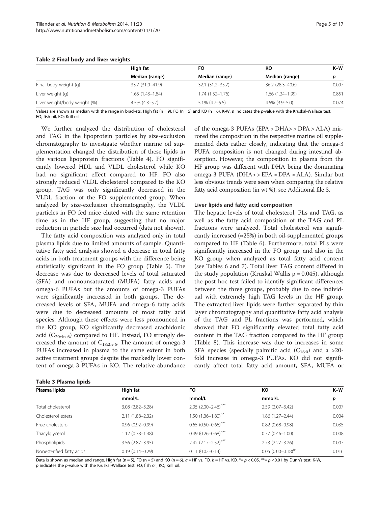|                              | High fat            | FO                  | КO                  | $K-W$ |
|------------------------------|---------------------|---------------------|---------------------|-------|
|                              | Median (range)      | Median (range)      | Median (range)      | p     |
| Final body weight (g)        | 33.7 (31.0-41.9)    | 32.1 (31.2-35.7)    | $36.2(28.3 - 40.6)$ | 0.097 |
| Liver weight (g)             | $1.65(1.43 - 1.84)$ | $1.74(1.52 - 1.76)$ | $1.66(1.24 - 1.99)$ | 0.851 |
| Liver weight/body weight (%) | $4.5\%$ (4.3–5.7)   | $5.1\%$ (4.7-5.5)   | $4.5\%$ $(3.9-5.0)$ | 0.074 |

#### <span id="page-4-0"></span>Table 2 Final body and liver weights

Values are shown as median with the range in brackets. High fat (n = 9), FO (n = 5) and KO (n = 6). K-W, p indicates the p-value with the Kruskal-Wallace test. FO; fish oil, KO; Krill oil.

We further analyzed the distribution of cholesterol and TAG in the lipoprotein particles by size-exclusion chromatography to investigate whether marine oil supplementation changed the distribution of these lipids in the various lipoprotein fractions (Table [4](#page-5-0)). FO significantly lowered HDL and VLDL cholesterol while KO had no significant effect compared to HF. FO also strongly reduced VLDL cholesterol compared to the KO group. TAG was only significantly decreased in the VLDL fraction of the FO supplemented group. When analyzed by size-exclusion chromatography, the VLDL particles in FO fed mice eluted with the same retention time as in the HF group, suggesting that no major reduction in particle size had occurred (data not shown).

The fatty acid composition was analyzed only in total plasma lipids due to limited amounts of sample. Quantitative fatty acid analysis showed a decrease in total fatty acids in both treatment groups with the difference being statistically significant in the FO group (Table [5](#page-6-0)). The decrease was due to decreased levels of total saturated (SFA) and monounsaturated (MUFA) fatty acids and omega-6 PUFAs but the amounts of omega-3 PUFAs were significantly increased in both groups. The decreased levels of SFA, MUFA and omega-6 fatty acids were due to decreased amounts of most fatty acid species. Although these effects were less pronounced in the KO group, KO significantly decreased arachidonic acid ( $C_{20:4n-6}$ ) compared to HF. Instead, FO strongly decreased the amount of  $C_{18:2n-6}$ . The amount of omega-3 PUFAs increased in plasma to the same extent in both active treatment groups despite the markedly lower content of omega-3 PUFAs in KO. The relative abundance

Table 3 Plasma lipids

of the omega-3 PUFAs (EPA > DHA> > DPA > ALA) mirrored the composition in the respective marine oil supplemented diets rather closely, indicating that the omega-3 PUFA composition is not changed during intestinal absorption. However, the composition in plasma from the HF group was different with DHA being the dominating omega-3 PUFA (DHA> > EPA ≈ DPA ≈ ALA). Similar but less obvious trends were seen when comparing the relative fatty acid composition (in wt %), see Additional file [3](#page-14-0).

#### Liver lipids and fatty acid composition

The hepatic levels of total cholesterol, PLs and TAG, as well as the fatty acid composition of the TAG and PL fractions were analyzed. Total cholesterol was significantly increased ( $\approx$ 25%) in both oil-supplemented groups compared to HF (Table [6](#page-6-0)). Furthermore, total PLs were significantly increased in the FO group, and also in the KO group when analyzed as total fatty acid content (see Tables [6](#page-6-0) and [7\)](#page-7-0). Total liver TAG content differed in the study population (Kruskal Wallis  $p = 0.045$ ), although the post hoc test failed to identify significant differences between the three groups, probably due to one individual with extremely high TAG levels in the HF group. The extracted liver lipids were further separated by thin layer chromatography and quantitative fatty acid analysis of the TAG and PL fractions was performed, which showed that FO significantly elevated total fatty acid content in the TAG fraction compared to the HF group (Table [8\)](#page-8-0). This increase was due to increases in some SFA species (specially palmitic acid  $(C_{16:0})$  and a >20fold increase in omega-3 PUFAs. KO did not significantly affect total fatty acid amount, SFA, MUFA or

| Plasma lipids             | High fat               | FO.                           | КO                     | $K-W$ |
|---------------------------|------------------------|-------------------------------|------------------------|-------|
|                           | mmol/L                 | mmol/L                        | mmol/L                 | p     |
| Total cholesterol         | $3.08(2.82 - 3.28)$    | 2.05 $(2.00-2.46)^{a^{**}}$   | $2.59(2.07 - 3.42)$    | 0.007 |
| Cholesterol esters        | 2.11 (1.88-2.32)       | 1.50 $(1.36 - 1.80)^{a*}$     | 1.86 (1.27-2.44)       | 0.004 |
| Free cholesterol          | $0.96(0.92 - 0.99)$    | 0.65 $(0.50 - 0.66)^{a**}$    | $0.82(0.68 - 0.98)$    | 0.035 |
| Triacylglycerol           | $1.12(0.78 - 1.48)$    | 0.49 $(0.26 - 0.68)^{a^{**}}$ | $0.77(0.46 - 1.00)$    | 0.008 |
| Phospholipids             | $3.56$ $(2.87 - 3.95)$ | 2.42 $(2.17 - 2.52)^{a^{**}}$ | $2.73(2.27 - 3.26)$    | 0.007 |
| Nonesterified fatty acids | $0.19(0.14 - 0.29)$    | $0.11(0.02 - 0.14)$           | $0.05(0.00-0.18)^{b*}$ | 0.016 |

Data is shown as median and range. High fat (n = 5), FO (n = 5) and KO (n = 6).  $a$  = HF vs. FO,  $b$  = HF vs. KO,  $* = p$  < 0.05,  $** = p$  < 0.01 by Dunn's test. K-W, p indicates the p-value with the Kruskal-Wallace test. FO; fish oil, KO; Krill oil.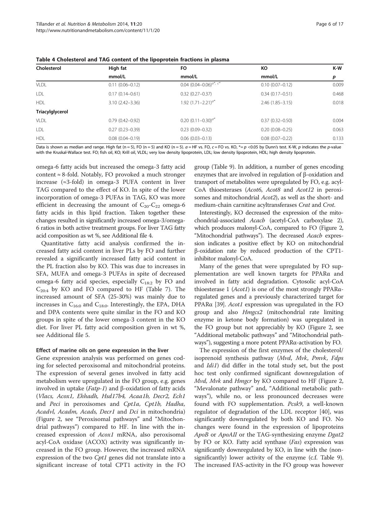| Cholesterol     | High fat            | FO.                                | КO                     | K-W   |
|-----------------|---------------------|------------------------------------|------------------------|-------|
|                 | mmol/L              | mmol/L                             | mmol/L                 | p     |
| <b>VLDL</b>     | $0.11(0.06 - 0.12)$ | 0.04 $(0.04 - 0.06)^{a^*}$ , $c^*$ | $0.10(0.07 - 0.12)$    | 0.009 |
| LDL             | $0.17(0.14 - 0.61)$ | $0.32(0.27 - 0.37)$                | $0.34(0.17-0.51)$      | 0.468 |
| <b>HDL</b>      | $3.10(2.42 - 3.36)$ | 1.92 $(1.71 - 2.21)^{a*}$          | $2.46(1.85 - 3.15)$    | 0.018 |
| Triacylglycerol |                     |                                    |                        |       |
| VLDL            | $0.79(0.42 - 0.92)$ | 0.20 $(0.11 - 0.30)^{a}$           | $0.37(0.32 - 0.50)$    | 0.004 |
| LDL             | $0.27(0.23 - 0.39)$ | $0.23(0.09 - 0.32)$                | $0.20(0.08 - 0.25)$    | 0.063 |
| <b>HDL</b>      | $0.08(0.04 - 0.19)$ | $0.06(0.03 - 0.13)$                | $0.08$ $(0.07 - 0.22)$ | 0.133 |

<span id="page-5-0"></span>Table 4 Cholesterol and TAG content of the lipoprotein fractions in plasma

Data is shown as median and range. High fat (n = 5), FO (n = 5) and KO (n = 5).  $a = HF$  vs. FO,  $c = FO$  vs. KO,  $* = p \lt 0.05$  by Dunn's test. K-W, p indicates the p-value with the Kruskal-Wallace test. FO; fish oil, KO; Krill oil, VLDL; very low density lipoprotein, LDL; low density lipoprotein, HDL; high density lipoprotein.

omega-6 fatty acids but increased the omega-3 fatty acid content  $\approx$  8-fold. Notably, FO provoked a much stronger increase (≈3-fold) in omega-3 PUFA content in liver TAG compared to the effect of KO. In spite of the lower incorporation of omega-3 PUFAs in TAG, KO was more efficient in decreasing the amount of  $C_{20}$ - $C_{22}$  omega-6 fatty acids in this lipid fraction. Taken together these changes resulted in significantly increased omega-3/omega-6 ratios in both active treatment groups. For liver TAG fatty acid composition as wt %, see Additional file [4.](#page-14-0)

Quantitative fatty acid analysis confirmed the increased fatty acid content in liver PLs by FO and further revealed a significantly increased fatty acid content in the PL fraction also by KO. This was due to increases in SFA, MUFA and omega-3 PUFAs in spite of decreased omega-6 fatty acid species, especially  $C_{18:2}$  by FO and  $C_{20:4}$  by KO and FO compared to HF (Table [7](#page-7-0)). The increased amount of SFA (25-30%) was mainly due to increases in  $C_{16:0}$  and  $C_{18:0}$ . Interestingly, the EPA, DHA and DPA contents were quite similar in the FO and KO groups in spite of the lower omega-3 content in the KO diet. For liver PL fatty acid composition given in wt %, see Additional file [5.](#page-14-0)

#### Effect of marine oils on gene expression in the liver

Gene expression analysis was performed on genes coding for selected peroxisomal and mitochondrial proteins. The expression of several genes involved in fatty acid metabolism were upregulated in the FO group, e.g. genes involved in uptake (*Fatp-1*) and β-oxidation of fatty acids (Vlacs, Acox1, Ehhadh, Hsd17b4, Acaa1b, Decr2, Ech1 and Peci in peroxisomes and Cpt1a, Cpt1b, Hadha, Acadvl, Acadm, Acads, Decr1 and Dci in mitochondria) (Figure [2](#page-10-0), see "Peroxisomal pathways" and "Mitochondrial pathways") compared to HF. In line with the increased expression of Acox1 mRNA, also peroxisomal acyl-CoA oxidase (ACOX) activity was significantly increased in the FO group. However, the increased mRNA expression of the two Cpt1 genes did not translate into a significant increase of total CPT1 activity in the FO

group (Table [9](#page-10-0)). In addition, a number of genes encoding enzymes that are involved in regulation of β-oxidation and transport of metabolites were upregulated by FO, e.g. acyl-CoA thioesterases (Acot6, Acot8 and Acot12 in peroxisomes and mitochondrial Acot2), as well as the short- and medium-chain carnitine acyltransferases Crat and Crot.

Interestingly, KO decreased the expression of the mitochondrial-associated Acacb (acetyl-CoA carboxylase 2), which produces malonyl-CoA, compared to FO (Figure [2](#page-10-0), "Mitochondrial pathways"). The decreased Acacb expression indicates a positive effect by KO on mitochondrial β-oxidation rate by reduced production of the CPT1 inhibitor malonyl-CoA.

Many of the genes that were upregulated by FO supplementation are well known targets for PPARα and involved in fatty acid degradation. Cytosolic acyl-CoA thioesterase 1 (Acot1) is one of the most strongly PPARαregulated genes and a previously characterized target for PPARα [[39](#page-15-0)]. Acot1 expression was upregulated in the FO group and also *Hmgcs2* (mitochondrial rate limiting enzyme in ketone body formation) was upregulated in the FO group but not appreciably by KO (Figure [2,](#page-10-0) see "Additional metabolic pathways" and "Mitochondrial pathways"), suggesting a more potent PPARα-activation by FO.

The expression of the first enzymes of the cholesterol/ isoprenoid synthesis pathway (Mvd, Mvk, Pmvk, Fdps and *Idi1*) did differ in the total study set, but the post hoc test only confirmed significant downregulation of Mvd, Mvk and Hmgcr by KO compared to HF (Figure [2](#page-10-0), "Mevalonate pathway" and, "Additional metabolic pathways"), while no, or less pronounced decreases were found with FO supplementation. Pcsk9, a well-known regulator of degradation of the LDL receptor [\[40\]](#page-15-0), was significantly downregulated by both KO and FO. No changes were found in the expression of lipoproteins ApoB or ApoAII or the TAG-synthesizing enzyme Dgat2 by FO or KO. Fatty acid synthase (Fas) expression was significantly downregulated by KO, in line with the (nonsignificantly) lower activity of the enzyme (c.f. Table [9](#page-10-0)). The increased FAS-activity in the FO group was however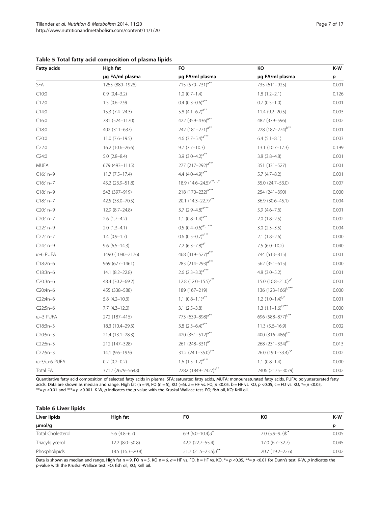| <b>Fatty acids</b> | High fat            | <b>FO</b>                           | КO                            | K-W   |
|--------------------|---------------------|-------------------------------------|-------------------------------|-------|
|                    | µg FA/ml plasma     | µg FA/ml plasma                     | µg FA/ml plasma               | p     |
| SFA                | 1255 (889-1928)     | 715 (570-731) <sup>a**</sup>        | 735 (611-925)                 | 0.001 |
| C10:0              | $0.9(0.4-3.2)$      | $1.0(0.7-1.4)$                      | $1.8(1.2 - 2.1)$              | 0.126 |
| C12:0              | $1.5(0.6-2.9)$      | 0.4 $(0.3-0.6)^{a**}$               | $0.7(0.5-1.0)$                | 0.001 |
| C14:0              | 15.3 (7.4-24.3)     | 5.8 $(4.1-6.7)^{a**}$               | $11.4(9.2 - 20.5)$            | 0.003 |
| C16:0              | 781 (524-1170)      | 422 (359-436) <sup>a**</sup>        | 482 (379-596)                 | 0.002 |
| C18:0              | 402 (311-637)       | 242 (181-271) <sup>a**</sup>        | 228 (187-274) <sup>b**</sup>  | 0.001 |
| C20:0              | $11.0 (7.6 - 19.5)$ | 4.6 $(3.7-5.4)^{a***}$              | $6.4(5.1-8.1)$                | 0.003 |
| C22:0              | 16.2 (10.6-26.6)    | $9.7(7.7-10.3)$                     | $13.1(10.7-17.3)$             | 0.199 |
| C24:0              | $5.0(2.8-8.4)$      | 3.9 $(3.0-4.2)^{a**}$               | $3.8(3.8-4.8)$                | 0.001 |
| <b>MUFA</b>        | 679 (493-1115)      | 277 (217–292) <sup>a***</sup>       | 351 (331-527)                 | 0.001 |
| $C16:1n-9$         | $11.7 (7.5 - 17.4)$ | 4.4 $(4.0-4.9)^{a**}$               | $5.7(4.7-8.2)$                | 0.001 |
| $C16:1n-7$         | 45.2 (23.9-51.8)    | 18.9 (14.6-24.5) <sup>a**, c*</sup> | 35.0 (24.7-53.0)              | 0.007 |
| $C18:1n-9$         | 543 (397-919)       | 218 (170-232) <sup>a***</sup>       | 254 (241-390)                 | 0.000 |
| $C18:1n-7$         | 42.5 (33.0-70.5)    | 20.1 $(14.3 - 22.7)^{a**}$          | 36.9 (30.6-45.1)              | 0.004 |
| $C20:1n-9$         | 12.9 (8.7-24.8)     | 3.7 $(2.9-4.8)^{a***}$              | $5.9(4.6 - 7.6)$              | 0.001 |
| $C20:1n-7$         | $2.6(1.7-4.2)$      | 1.1 $(0.8-1.4)^{a**}$               | $2.0(1.8-2.5)$                | 0.002 |
| $C22:1n-9$         | $2.0(1.3-4.1)$      | 0.5 $(0.4-0.6)^{a^*}$ , $c^{**}$    | $3.0(2.3-3.5)$                | 0.004 |
| $C22:1n-7$         | $1.4(0.9-1.7)$      | 0.6 $(0.5-0.7)^{c***}$              | $2.1(1.8-2.6)$                | 0.000 |
| $C24:1n-9$         | $9.6(6.5 - 14.3)$   | 7.2 $(6.3 - 7.8)^{a*}$              | $7.5(6.0-10.2)$               | 0.040 |
| ω-6 PUFA           | 1490 (1080-2176)    | 468 (419-527) <sup>a***</sup>       | 744 (513-815)                 | 0.001 |
| $C18:2n-6$         | 969 (677-1461)      | 283 (214-293) <sup>a**</sup>        | 562 (351-615)                 | 0.000 |
| $C18:3n-6$         | $14.1 (8.2 - 22.8)$ | 2.6 $(2.3-3.0)^{a***}$              | $4.8$ $(3.0 - 5.2)$           | 0.001 |
| $C20:3n-6$         | 48.4 (30.2-69.2)    | 12.8 $(12.0 - 15.5)^{a**}$          | 15.0 $(10.8 - 21.0)^{b*}$     | 0.001 |
| C20:4n-6           | 455 (338-588)       | 189 (167-219)                       | 136 (123-166) <sup>b***</sup> | 0.000 |
| $C22:4n-6$         | $5.8(4.2 - 10.3)$   | 1.1 $(0.8-1.1)^{a**}$               | 1.2 $(1.0-1.4)^{b*}$          | 0.001 |
| $C22:5n-6$         | $7.7(4.3-12.0)$     | $3.1(2.5-3.8)$                      | 1.3 $(1.1-1.6)^{b***}$        | 0.000 |
| ω-3 PUFA           | 272 (187-415)       | 773 (639–898) <sup>ani</sup>        | 696 (588-877) <sup>b**</sup>  | 0.001 |
| $C18:3n-3$         | 18.3 (10.4-29.3)    | 3.8 $(2.3-6.4)^{a**}$               | $11.3(5.6 - 16.9)$            | 0.002 |
| $C20:5n-3$         | 21.4 (13.1-28.3)    | 420 $(351-512)^{a**}$               | 400 (316-486) <sup>b*</sup>   | 0.001 |
| $C22:6n-3$         | 212 (147-328)       | 261 (248-331) <sup>a*</sup>         | 268 (231-334) <sup>b*</sup>   | 0.013 |
| $C22:5n-3$         | 14.1 (9.6-19.9)     | 31.2 $(24.1 - 35.0)^{a**}$          | 26.0 $(19.1 - 33.4)^{b*}$     | 0.002 |
| ω-3/ω-6 PUFA       | $0.2(0.2-0.2)$      | 1.6 $(1.5-1.7)^{a***}$              | $1.1 (0.8 - 1.4)$             | 0.000 |
| Total FA           | 3712 (2679-5648)    | 2282 (1849-2427) <sup>a**</sup>     | 2406 (2175-3079)              | 0.002 |

## <span id="page-6-0"></span>Table 5 Total fatty acid composition of plasma lipids

Quantitative fatty acid composition of selected fatty acids in plasma. SFA; saturated fatty acids, MUFA; monounsaturated fatty acids, PUFA; polyunsaturated fatty acids. Data are shown as median and range. High fat (n = 9), FO (n = 5), KO (=6). a = HF vs. FO, p <0.05, b = HF vs. KO, p <0.05, c = FO vs. KO, \*= p <0.05, \*\*= p <0.01 and \*\*\*= p <0.001. K-W, p indicates the p-value with the Kruskal-Wallace test. FO; fish oil, KO; Krill oil.

## Table 6 Liver lipids

| Liver lipids             | High fat          | FO                      | КO                  | K-W   |
|--------------------------|-------------------|-------------------------|---------------------|-------|
| $\mu$ mol/g              |                   |                         |                     |       |
| <b>Total Cholesterol</b> | $5.6(4.8-6.7)$    | 6.9 $(6.0 - 10.4)a^*$   | $7.0(5.9-9.7)b^{*}$ | 0.005 |
| Triacylglycerol          | 12.2 (8.0-50.8)   | 42.2 (22.7-55.4)        | $17.0(6.7 - 32.7)$  | 0.045 |
| Phospholipids            | $18.5(16.3-20.8)$ | $21.7(21.5-23.5)a^{**}$ | 20.7 (19.2-22.6)    | 0.002 |

Data is shown as median and range. High fat n = 9, FO n = 5, KO n = 6.  $a$  = HF vs. FO,  $b$  = HF vs. KO, \*= p <0.05, \*\*= p <0.01 for Dunn's test. K-W, p indicates the p-value with the Kruskal-Wallace test. FO; fish oil, KO; Krill oil.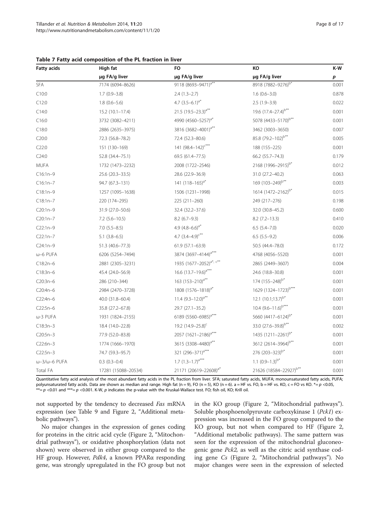| <b>Fatty acids</b> | High fat            | <b>FO</b>                           | KO                               | K-W   |
|--------------------|---------------------|-------------------------------------|----------------------------------|-------|
|                    | µg FA/g liver       | µg FA/g liver                       | µg FA/g liver                    | p     |
| <b>SFA</b>         | 7174 (6094-8626)    | 9118 (8693-9471) <sup>a**</sup>     | 8918 (7882-9276) <sup>b*</sup>   | 0.001 |
| C10:0              | $1.7(0.9 - 3.8)$    | $2.4(1.3-2.7)$                      | $1.6(0.6 - 3.0)$                 | 0.878 |
| C12:0              | $1.8(0.6 - 5.6)$    | 4.7 $(3.5-6.1)^{a*}$                | $2.5(1.9-3.9)$                   | 0.022 |
| C14:0              | $15.2(10.1 - 17.4)$ | 21.5 $(19.5 - 23.3)^{a**}$          | 19.6 $(17.4 - 27.4)^{b**}$       | 0.001 |
| C16:0              | 3732 (3082-4211)    | 4990 (4560-5257) <sup>a*</sup>      | 5078 (4433-5170) <sup>b**</sup>  | 0.001 |
| C18:0              | 2886 (2635-3975)    | 3816 (3682-4001) <sup>a**</sup>     | 3462 (3003-3650)                 | 0.007 |
| C20:0              | 72.3 (56.8-78.2)    | 72.4 (52.3-80.6)                    | 85.8 (79.2-102) <sup>b**</sup>   | 0.005 |
| C22:0              | 151 (130-169)       | 141 $(98.4 - 142)^{c***}$           | 188 (155-225)                    | 0.001 |
| C24:0              | 52.8 (34.4-75.1)    | 69.5 (61.4-77.5)                    | 66.2 (55.7-74.3)                 | 0.179 |
| MUFA               | 1732 (1473-2232)    | 2008 (1722-2546)                    | 2168 (1996-2915) <sup>b*</sup>   | 0.012 |
| $C16:1n-9$         | 25.6 (20.3-33.5)    | 28.6 (22.9-36.9)                    | 31.0 (27.2-40.2)                 | 0.063 |
| C16:1n-7           | 94.7 (67.3-131)     | 141 $(118-165)^{a*}$                | 169 (103-249) <sup>b**</sup>     | 0.003 |
| C18:1n-9           | 1257 (1095-1638)    | 1506 (1231-1998)                    | 1614 (1472-2162) <sup>b*</sup>   | 0.015 |
| $C18:1n-7$         | 220 (174-295)       | 225 (211-260)                       | 249 (217-276)                    | 0.198 |
| C20:1n-9           | 31.9 (27.0-50.6)    | 32.4 (32.2-37.6)                    | 32.0 (30.8-45.2)                 | 0.600 |
| $C20:1n-7$         | $7.2$ (5.6-10.5)    | $8.2(6.7-9.3)$                      | $8.2(7.2 - 13.3)$                | 0.410 |
| $C22:1n-9$         | $7.0(5.5-8.5)$      | 4.9 $(4.8-6.6)^{a*}$                | $6.5(5.4 - 7.0)$                 | 0.020 |
| $C22:1n-7$         | $5.1(3.8-6.5)$      | 4.7 $(3.4-4.9)^{c**}$               | $6.5(5.5-9.2)$                   | 0.006 |
| C24:1n-9           | 51.3 (40.6-77.3)    | 61.9 (57.1-63.9)                    | 50.5 (44.4-78.0)                 | 0.172 |
| ω-6 PUFA           | 6206 (5254-7494)    | 3874 (3697-4144) <sup>a***</sup>    | 4768 (4056-5520)                 | 0.001 |
| C18:2n-6           | 2881 (2305-3231)    | 1935 (1677-2052) <sup>a*, c**</sup> | 2865 (2449-3607)                 | 0.004 |
| $C18:3n-6$         | 45.4 (24.0-56.9)    | 16.6 $(13.7-19.6)^{a***}$           | 24.6 (18.8-30.8)                 | 0.001 |
| C20:3n-6           | 286 (210-344)       | 163 $(153 - 210)^{a**}$             | 174 (155-248) <sup>b*</sup>      | 0.001 |
| C20:4n-6           | 2984 (2470-3728)    | 1808 (1576-1818) <sup>a*</sup>      | 1629 (1324-1723) <sup>b***</sup> | 0.001 |
| C22:4n-6           | 40.0 (31.8-60.4)    | 11.4 $(9.3 - 12.0)^{a**}$           | 12.1 $(10.1;13.7)^{b*}$          | 0.001 |
| C22:5n-6           | 35.8 (27.2–67.8)    | 29.7 (27.1-35.2)                    | 10.4 $(9.6 - 11.6)^{b***}$       | 0.001 |
| ω-3 PUFA           | 1931 (1824-2155)    | 6189 (5560-6985) <sup>a***</sup>    | 5660 (4417-6124) <sup>b*</sup>   | 0.001 |
| $C18:3n-3$         | 18.4 (14.0-22.8)    | 19.2 (14.9-25.8) <sup>c</sup>       | 33.0 (27.6-39.8) <sup>b**</sup>  | 0.002 |
| $C20:5n-3$         | 77.9 (52.0-83.8)    | 2057 (1621-2186) <sup>a***</sup>    | 1435 (1211-2261) <sup>b*</sup>   | 0.001 |

#### <span id="page-7-0"></span>Table 7 Fatty acid composition of the PL fraction in liver

Total FA 17281 (15088–20534) 21171 (20619–22608)a\* 21626 (18584–22927)b\*\* 0.001 Quantitative fatty acid analysis of the most abundant fatty acids in the PL fraction from liver. SFA; saturated fatty acids, MUFA; monounsaturated fatty acids, PUFA; polyunsaturated fatty acids. Data are shown as median and range. High fat (n = 9), FO (n = 5), KO (n = 6). a = HF vs. FO, b = HF vs. KO, c = FO vs KO. \*= p <0.05, \*\*= p <0.01 and \*\*\*= p <0.001. K-W, p indicates the p-value with the Kruskal-Wallace test. FO; fish oil, KO; Krill oil.

 $C22:6n-3$  1774 (1666–1970) 3615 (3308–4480)<sup>a\*\*</sup> 3612 (2614–3964)<sup>b\*\*</sup> 0.001  $C22:5n-3$  74.7 (59.3–95.7) 321  $(296-371)^{a***}$  276  $(203-323)^{b*}$  0.001  $\omega$ –3/ $\omega$ –6 PUFA 0.3 (0.3–0.4) 1.7 (1.3–1.7)<sup>a\*\*\*</sup> 1.1 (0.9–1.3)<sup>b\*</sup> 0.001

not supported by the tendency to decreased Fas mRNA expression (see Table [9](#page-10-0) and Figure [2,](#page-10-0) "Additional metabolic pathways").

No major changes in the expression of genes coding for proteins in the citric acid cycle (Figure [2](#page-10-0), "Mitochondrial pathways"), or oxidative phosphorylation (data not shown) were observed in either group compared to the HF group. However, Pdk4, a known PPARα responding gene, was strongly upregulated in the FO group but not in the KO group (Figure [2](#page-10-0), "Mitochondrial pathways"). Soluble phosphoenolpyruvate carboxykinase 1 (Pck1) expression was increased in the FO group compared to the KO group, but not when compared to HF (Figure [2](#page-10-0), "Additional metabolic pathways). The same pattern was seen for the expression of the mitochondrial gluconeogenic gene Pck2, as well as the citric acid synthase coding gene Cs (Figure [2](#page-10-0), "Mitochondrial pathways"). No major changes were seen in the expression of selected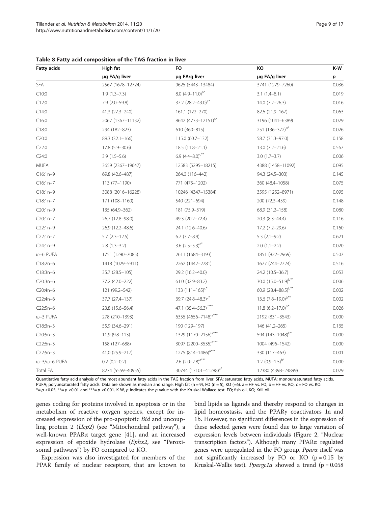| <b>Fatty acids</b>            | High fat          | <b>FO</b>                         | КO                           | K-W   |
|-------------------------------|-------------------|-----------------------------------|------------------------------|-------|
|                               | µg FA/g liver     | µg FA/g liver                     | µg FA/g liver                | p     |
| SFA                           | 2567 (1678-12724) | 9625 (5443-13484)                 | 3741 (1279-7260)             | 0.036 |
| C10:0                         | $1.9(1.3 - 7.3)$  | 8.0 $(4.9 - 11.0)^{a*}$           | $3.1(1.4-8.1)$               | 0.019 |
| C12:0                         | $7.9(2.0-59.8)$   | 37.2 $(28.2 - 43.0)^{a}$          | $14.0(7.2 - 26.3)$           | 0.016 |
| C14:0                         | 41.3 (27.3-240)   | 161.1 (122-270)                   | 82.6 (21.9-167)              | 0.063 |
| C16:0                         | 2067 (1367-11132) | 8642 (4733-12151) <sup>a*</sup>   | 3196 (1041-6389)             | 0.029 |
| C18:0                         | 294 (182-823)     | 610 (360-815)                     | 251 (136-372) <sup>b*</sup>  | 0.026 |
| C20:0                         | 89.3 (32.1-166)   | 115.0 (60.7-132)                  | 58.7 (31.3-97.0)             | 0.158 |
| C22:0                         | 17.8 (5.9-30.6)   | 18.5 (11.8-21.1)                  | $13.0 (7.2 - 21.6)$          | 0.567 |
| C24:0                         | $3.9(1.5-5.6)$    | 6.9 $(4.4 - 8.0)^{c**}$           | $3.0(1.7-3.7)$               | 0.006 |
| <b>MUFA</b>                   | 3659 (2367-19647) | 12583 (5295-18215)                | 4388 (1458-11092)            | 0.095 |
| $C16:1n-9$                    | 69.8 (42.6-487)   | 264.0 (116-442)                   | 94.3 (24.5-303)              | 0.145 |
| $C16:1n-7$                    | 113 (77-1190)     | 771 (475-1202)                    | 360 (48.4-1058)              | 0.075 |
| $C18:1n-9$                    | 3088 (2016-16228) | 10246 (4347-15384)                | 3595 (1252-8971)             | 0.095 |
| $C18:1n-7$                    | 171 (108-1160)    | 540 (221-694)                     | 200 (72.3-459)               | 0.148 |
| $C20:1n-9$                    | 135 (64.9-362)    | 181 (75.9-319)                    | 68.9 (31.2-158)              | 0.080 |
| $C20:1n-7$                    | 26.7 (12.8-98.0)  | 49.3 (20.2-72.4)                  | 20.3 (8.3-44.4)              | 0.116 |
| $C22:1n-9$                    | 26.9 (12.2-48.6)  | 24.1 (12.6-40.6)                  | 17.2 (7.2-29.6)              | 0.160 |
| $C22:1n-7$                    | $5.7(2.3-12.5)$   | $6.7(3.7-8.9)$                    | $5.3$ $(2.1-9.2)$            | 0.621 |
| $C24:1n-9$                    | $2.8(1.3-3.2)$    | 3.6 $(2.5-5.3)^{c*}$              | $2.0(1.1-2.2)$               | 0.020 |
| ω-6 PUFA                      | 1751 (1290-7085)  | 2611 (1684-3193)                  | 1851 (822-2969)              | 0.507 |
| $C18:2n-6$                    | 1418 (1029-5911)  | 2262 (1442-2781)                  | 1677 (744-2724)              | 0.516 |
| $C18:3n-6$                    | 35.7 (28.5-105)   | 29.2 (16.2-40.0)                  | 24.2 (10.5-36.7)             | 0.053 |
| $C20:3n-6$                    | 77.2 (42.0-222)   | 61.0 (32.9-83.2)                  | 30.0 $(15.0 - 51.9)^{b**}$   | 0.006 |
| $C20:4n-6$                    | 121 (99.2-542)    | 133 $(111 - 165)^{c^{*}}$         | 60.9 $(28.4 - 88.5)^{b**}$   | 0.002 |
| $C22:4n-6$                    | 37.7 (27.4-137)   | 39.7 $(24.8 - 48.3)^{c*}$         | 13.6 $(7.8-19.0)^{b**}$      | 0.002 |
| $C22:5n-6$                    | 23.8 (15.6-56.4)  | 47.1 $(35.4 - 56.3)^{c***}$       | 11.8 $(6.2 - 17.0)^{b*}$     | 0.026 |
| $\omega$ -3 PUFA              | 278 (210-1393)    | 6355 (4656-7148) <sup>a***</sup>  | 2192 (831-3543)              | 0.000 |
| $C18:3n-3$                    | 55.9 (34.6-291)   | 190 (129-197)                     | 146 (41.2-265)               | 0.135 |
| $C20:5n-3$                    | $11.9(9.8 - 113)$ | 1329 (1170-2156) <sup>a***</sup>  | 594 (143-1048) <sup>b*</sup> | 0.000 |
| $C22:6n-3$                    | 158 (127-688)     | 3097 (2200-3535) <sup>a***</sup>  | 1004 (496-1542)              | 0.000 |
| $C22:5n-3$                    | 41.0 (25.9-217)   | 1275 (814-1486) <sup>a***</sup>   | 330 (117-463)                | 0.001 |
| $\omega$ -3/ $\omega$ -6 PUFA | $0.2(0.2-0.2)$    | 2.6 $(2.0-2.8)^{a***}$            | $1.2 (0.9 - 1.5)^{b*}$       | 0.000 |
| Total FA                      | 8274 (5559-40955) | 30744 (17101-41288) <sup>a*</sup> | 12380 (4398-24899)           | 0.029 |

#### <span id="page-8-0"></span>Table 8 Fatty acid composition of the TAG fraction in liver

Quantitative fatty acid analysis of the most abundant fatty acids in the TAG fraction from liver. SFA; saturated fatty acids, MUFA; monounsaturated fatty acids, PUFA; polyunsaturated fatty acids. Data are shown as median and range. High fat (n = 9), FO (n = 5), KO (=6). a = HF vs. FO, b = HF vs. KO, c = FO vs. KO.  $* = p$  <0.05,  $** = p$  <0.01 and  $*** = p$  <0.001. K-W, p indicates the p-value with the Kruskal-Wallace test. FO; fish oil, KO; Krill oil.

genes coding for proteins involved in apoptosis or in the metabolism of reactive oxygen species, except for increased expression of the pro-apoptotic Bid and uncoupling protein 2 (Ucp2) (see "Mitochondrial pathway"), a well-known PPARα target gene [[41\]](#page-15-0), and an increased expression of epoxide hydrolase (Ephx2, see "Peroxisomal pathways") by FO compared to KO.

Expression was also investigated for members of the PPAR family of nuclear receptors, that are known to bind lipids as ligands and thereby respond to changes in lipid homeostasis, and the PPARγ coactivators 1a and 1b. However, no significant differences in the expression of these selected genes were found due to large variation of expression levels between individuals (Figure [2](#page-10-0), "Nuclear transcription factors"). Although many PPARα regulated genes were upregulated in the FO group, Pparα itself was not significantly increased by FO or KO  $(p = 0.15$  by Kruskal-Wallis test). *Ppargc1a* showed a trend ( $p = 0.058$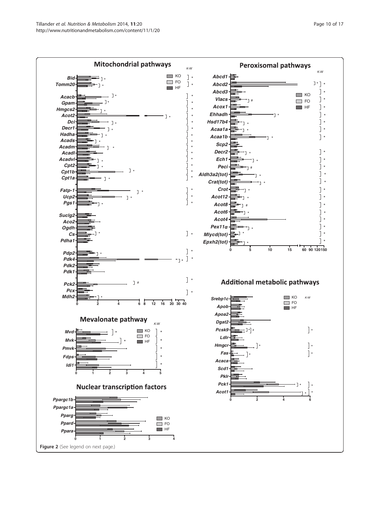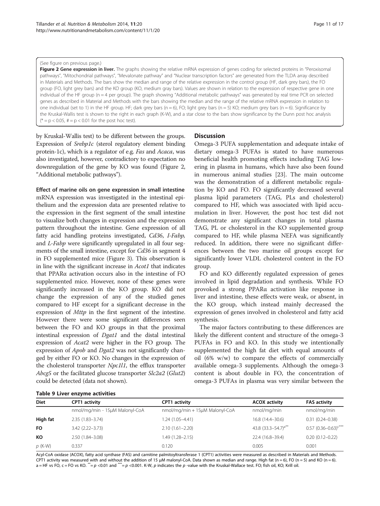#### <span id="page-10-0"></span>(See figure on previous page.)

Figure 2 Gene expression in liver. The graphs showing the relative mRNA expression of genes coding for selected proteins in "Peroxisomal pathways", "Mitochondrial pathways", "Mevalonate pathway" and "Nuclear transcription factors" are generated from the TLDA array described in Materials and Methods. The bars show the median and range of the relative expression in the control group (HF, dark grey bars), the FO group (FO, light grey bars) and the KO group (KO, medium gray bars). Values are shown in relation to the expression of respective gene in one individual of the HF group (n = 4 per group). The graph showing "Additional metabolic pathways" was generated by real time PCR on selected genes as described in Material and Methods with the bars showing the median and the range of the relative mRNA expression in relation to one individual (set to 1) in the HF group. HF; dark grey bars (n = 6), FO; light grey bars (n = 5) KO; medium grey bars (n = 6). Significance by the Kruskal-Wallis test is shown to the right in each graph (K-W), and a star close to the bars show significance by the Dunn post hoc analysis  $(* = p < 0.05, # = p < 0.01$  for the post hoc test).

by Kruskal-Wallis test) to be different between the groups. Expression of Srebp1c (sterol regulatory element binding protein-1c), which is a regulator of e.g. Fas and Acaca, was also investigated, however, contradictory to expectation no downregulation of the gene by KO was found (Figure 2, "Additional metabolic pathways").

Effect of marine oils on gene expression in small intestine mRNA expression was investigated in the intestinal epithelium and the expression data are presented relative to the expression in the first segment of the small intestine to visualize both changes in expression and the expression pattern throughout the intestine. Gene expression of all fatty acid handling proteins investigated, Cd36, I-Fabp, and L-Fabp were significantly upregulated in all four segments of the small intestine, except for Cd36 in segment 4 in FO supplemented mice (Figure [3\)](#page-12-0). This observation is in line with the significant increase in Acot1 that indicates that PPARα activation occurs also in the intestine of FO supplemented mice. However, none of these genes were significantly increased in the KO group. KO did not change the expression of any of the studied genes compared to HF except for a significant decrease in the expression of Mttp in the first segment of the intestine. However there were some significant differences seen between the FO and KO groups in that the proximal intestinal expression of Dgat1 and the distal intestinal expression of Acat2 were higher in the FO group. The expression of Apob and Dgat2 was not significantly changed by either FO or KO. No changes in the expression of the cholesterol transporter Npc1l1, the efflux transporter Abcg5 or the facilitated glucose transporter Slc2a2 (Glut2) could be detected (data not shown).

#### **Discussion**

Omega-3 PUFA supplementation and adequate intake of dietary omega-3 PUFAs is stated to have numerous beneficial health promoting effects including TAG lowering in plasma in humans, which have also been found in numerous animal studies [[23](#page-15-0)]. The main outcome was the demonstration of a different metabolic regulation by KO and FO. FO significantly decreased several plasma lipid parameters (TAG, PLs and cholesterol) compared to HF, which was associated with lipid accumulation in liver. However, the post hoc test did not demonstrate any significant changes in total plasma TAG, PL or cholesterol in the KO supplemented group compared to HF, while plasma NEFA was significantly reduced. In addition, there were no significant differences between the two marine oil groups except for significantly lower VLDL cholesterol content in the FO group.

FO and KO differently regulated expression of genes involved in lipid degradation and synthesis. While FO provoked a strong PPARα activation like response in liver and intestine, these effects were weak, or absent, in the KO group, which instead mainly decreased the expression of genes involved in cholesterol and fatty acid synthesis.

The major factors contributing to these differences are likely the different content and structure of the omega-3 PUFAs in FO and KO. In this study we intentionally supplemented the high fat diet with equal amounts of oil (6% w/w) to compare the effects of commercially available omega-3 supplements. Although the omega-3 content is about double in FO, the concentration of omega-3 PUFAs in plasma was very similar between the

| Table 9 Liver enzyme activities |  |
|---------------------------------|--|
|---------------------------------|--|

| Diet      | CPT1 activity                  | <b>CPT1</b> activity           | <b>ACOX activity</b>       | <b>FAS activity</b>                |
|-----------|--------------------------------|--------------------------------|----------------------------|------------------------------------|
|           |                                |                                |                            |                                    |
|           | nmol/mg/min - 15µM Malonyl-CoA | nmol/mg/min + 15µM Malonyl-CoA | nmol/mg/min                | nmol/mg/min                        |
| High fat  | $2.35(1.83 - 3.74)$            | $1.24(1.05 - 4.41)$            | 16.8 (14.4-30.6)           | $0.31(0.24 - 0.38)$                |
| <b>FO</b> | $3.42(2.22 - 3.73)$            | $2.10(1.61 - 2.20)$            | 43.8 $(33.3 - 54.7)^{a**}$ | $0.57$ (0.36-0.63) <sup>c***</sup> |
| КO        | 2.50 (1.84-3.08)               | $1.49(1.28 - 2.15)$            | 22.4 (16.8-39.4)           | $0.20(0.12 - 0.22)$                |
| $p$ (K-W) | 0.337                          | 0.120                          | 0.005                      | 0.001                              |

Acyl-CoA oxidase (ACOX), fatty acid synthase (FAS) and carnitine palmitoyltransferase 1 (CPT1) activities were measured as described in Materials and Methods. CPT1 activity was measured with and without the addition of 15 µM malonyl-CoA. Data shown as median and range. High fat (n = 6), FO (n = 5) and KO (n = 6). a = HF vs FO, c = FO vs KO.  $* = p$  <0.01 and  $** = p$  <0.001. K-W, p indicates the p -value with the Kruskal-Wallace test. FO; fish oil, KO; Krill oil.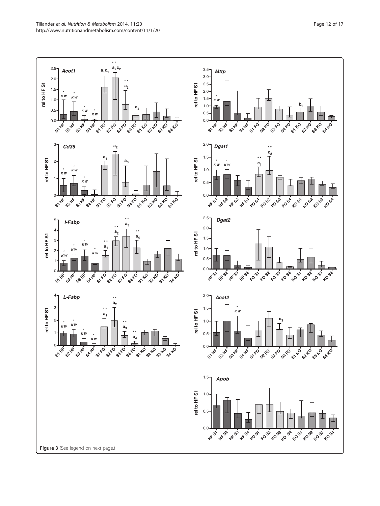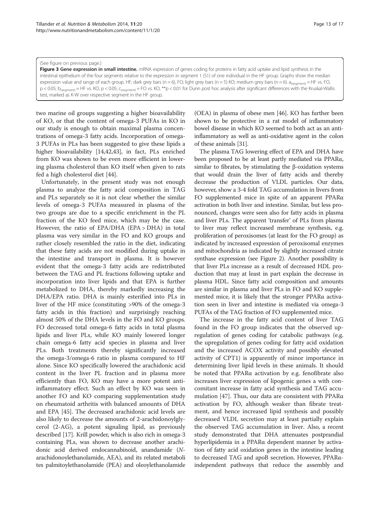#### <span id="page-12-0"></span>(See figure on previous page.)

Figure 3 Gene expression in small intestine. mRNA expression of genes coding for proteins in fatty acid uptake and lipid synthesis in the intestinal epithelium of the four segments relative to the expression in segment 1 (S1) of one individual in the HF group. Graphs show the median expression value and range of each group. HF; dark grey bars (n = 6), FO; light grey bars (n = 5) KO; medium grey bars (n = 6).  $a_{\text{seomen}} = HF$  vs. FO, p < 0.05; b<sub>(segment)</sub> = HF vs. KO, p < 0.05; c<sub>(segment)</sub> = FO vs. KO, \*\*p < 0.01 for Dunn post hoc analysis after significant differences with the Kruskal-Wallis test, marked as K-W over respective segment in the HF group.

two marine oil groups suggesting a higher bioavailability of KO, or that the content of omega-3 PUFAs in KO in our study is enough to obtain maximal plasma concentrations of omega-3 fatty acids. Incorporation of omega-3 PUFAs in PLs has been suggested to give these lipids a higher bioavailability [\[14,42,43\]](#page-15-0), in fact, PLs enriched from KO was shown to be even more efficient in lowering plasma cholesterol than KO itself when given to rats fed a high cholesterol diet [\[44\]](#page-15-0).

Unfortunately, in the present study was not enough plasma to analyze the fatty acid composition in TAG and PLs separately so it is not clear whether the similar levels of omega-3 PUFAs measured in plasma of the two groups are due to a specific enrichment in the PL fraction of the KO feed mice, which may be the case. However, the ratio of EPA/DHA (EPA > DHA) in total plasma was very similar in the FO and KO groups and rather closely resembled the ratio in the diet, indicating that these fatty acids are not modified during uptake in the intestine and transport in plasma. It is however evident that the omega-3 fatty acids are redistributed between the TAG and PL fractions following uptake and incorporation into liver lipids and that EPA is further metabolized to DHA, thereby markedly increasing the DHA/EPA ratio. DHA is mainly esterified into PLs in liver of the HF mice (constituting >90% of the omega-3 fatty acids in this fraction) and surprisingly reaching almost 50% of the DHA levels in the FO and KO groups. FO decreased total omega-6 fatty acids in total plasma lipids and liver PLs, while KO mainly lowered longer chain omega-6 fatty acid species in plasma and liver PLs. Both treatments thereby significantly increased the omega-3/omega-6 ratio in plasma compared to HF alone. Since KO specifically lowered the arachidonic acid content in the liver PL fraction and in plasma more efficiently than FO, KO may have a more potent antiinflammatory effect. Such an effect by KO was seen in another FO and KO comparing supplementation study on rheumatoid arthritis with balanced amounts of DHA and EPA [\[45](#page-15-0)]. The decreased arachidonic acid levels are also likely to decrease the amounts of 2-arachidonoylglycerol (2-AG), a potent signaling lipid, as previously described [[17](#page-15-0)]. Krill powder, which is also rich in omega-3 containing PLs, was shown to decrease another arachidonic acid derived endocannabinoid, anandamide (Narachidonoylethanolamide, AEA), and its related metaboli tes palmitoylethanolamide (PEA) and oleoylethanolamide (OEA) in plasma of obese men [[46\]](#page-15-0). KO has further been shown to be protective in a rat model of inflammatory bowel disease in which KO seemed to both act as an antiinflammatory as well as anti-oxidative agent in the colon of these animals [[31](#page-15-0)].

The plasma TAG lowering effect of EPA and DHA have been proposed to be at least partly mediated via PPARα, similar to fibrates, by stimulating the β-oxidation systems that would drain the liver of fatty acids and thereby decrease the production of VLDL particles. Our data, however, show a 3-4 fold TAG accumulation in livers from FO supplemented mice in spite of an apparent PPARα activation in both liver and intestine. Similar, but less pronounced, changes were seen also for fatty acids in plasma and liver PLs. The apparent 'transfer' of PLs from plasma to liver may reflect increased membrane synthesis, e.g. proliferation of peroxisomes (at least for the FO group) as indicated by increased expression of peroxisomal enzymes and mitochondria as indicated by slightly increased citrate synthase expression (see Figure [2](#page-10-0)). Another possibility is that liver PLs increase as a result of decreased HDL production that may at least in part explain the decrease in plasma HDL. Since fatty acid composition and amounts are similar in plasma and liver PLs in FO and KO supplemented mice, it is likely that the stronger PPARα activation seen in liver and intestine is mediated via omega-3 PUFAs of the TAG fraction of FO supplemented mice.

The increase in the fatty acid content of liver TAG found in the FO group indicates that the observed upregulation of genes coding for catabolic pathways (e.g. the upregulation of genes coding for fatty acid oxidation and the increased ACOX activity and possibly elevated activity of CPT1) is apparently of minor importance in determining liver lipid levels in these animals. It should be noted that PPARα activation by e.g. fenofibrate also increases liver expression of lipogenic genes a with concomitant increase in fatty acid synthesis and TAG accumulation [[47](#page-15-0)]. Thus, our data are consistent with PPARα activation by FO, although weaker than fibrate treatment, and hence increased lipid synthesis and possibly decreased VLDL secretion may at least partially explain the observed TAG accumulation in liver. Also, a recent study demonstrated that DHA attenuates postprandial hyperlipidemia in a PPARα dependent manner by activation of fatty acid oxidation genes in the intestine leading to decreased TAG and apoB secretion. However, PPARαindependent pathways that reduce the assembly and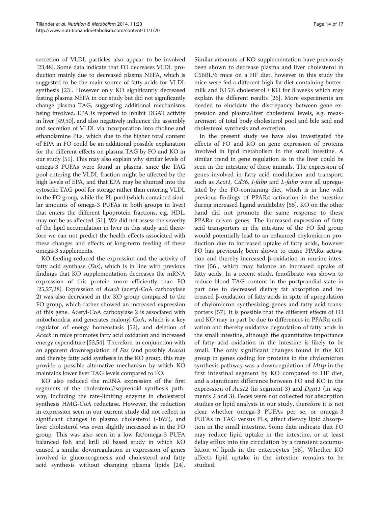secretion of VLDL particles also appear to be involved [[23,48](#page-15-0)]. Some data indicate that FO decreases VLDL production mainly due to decreased plasma NEFA, which is suggested to be the main source of fatty acids for VLDL synthesis [[23\]](#page-15-0). However only KO significantly decreased fasting plasma NEFA in our study but did not significantly change plasma TAG, suggesting additional mechanisms being involved. EPA is reported to inhibit DGAT activity in liver [[49,50](#page-15-0)], and also negatively influence the assembly and secretion of VLDL via incorporation into choline and ethanolamine PLs, which due to the higher total content of EPA in FO could be an additional possible explanation for the different effects on plasma TAG by FO and KO in our study [[51](#page-15-0)]. This may also explain why similar levels of omega-3 PUFAs were found in plasma, since the TAG pool entering the VLDL fraction might be affected by the high levels of EPA, and that EPA may be shunted into the cytosolic TAG-pool for storage rather than entering VLDL in the FO group, while the PL pool (which contained similar amounts of omega-3 PUFAs in both groups in liver) that enters the different lipoprotein fractions, e.g. HDL, may not be as affected [\[51\]](#page-15-0). We did not assess the severity of the lipid accumulation in liver in this study and therefore we can not predict the health effects associated with these changes and effects of long-term feeding of these omega-3 supplements.

KO feeding reduced the expression and the activity of fatty acid synthase (Fas), which is in line with previous findings that KO supplementation decreases the mRNA expression of this protein more efficiently than FO [[25,27,28\]](#page-15-0). Expression of *Acacb* (acetyl-CoA carboxylase 2) was also decreased in the KO group compared to the FO group, which rather showed an increased expression of this gene. Acetyl-CoA carboxylase 2 is associated with mitochondria and generates malonyl-CoA, which is a key regulator of energy homeostasis [\[52\]](#page-15-0), and deletion of Acacb in mice promotes fatty acid oxidation and increased energy expenditure [\[53,54](#page-15-0)]. Therefore, in conjunction with an apparent downregulation of Fas (and possibly Acaca) and thereby fatty acid synthesis in the KO group, this may provide a possible alternative mechanism by which KO maintains lower liver TAG levels compared to FO.

KO also reduced the mRNA expression of the first segments of the cholesterol/isoprenoid synthesis pathway, including the rate-limiting enzyme in cholesterol synthesis HMG-CoA reductase. However, the reduction in expression seen in our current study did not reflect in significant changes in plasma cholesterol (-16%), and liver cholesterol was even slightly increased as in the FO group. This was also seen in a low fat/omega-3 PUFA balanced fish and krill oil based study in which KO caused a similar downregulation in expression of genes involved in gluconeogenesis and cholesterol and fatty acid synthesis without changing plasma lipids [\[24](#page-15-0)].

Similar amounts of KO supplementation have previously been shown to decrease plasma and liver cholesterol in C56BL/6 mice on a HF diet, however in this study the mice were fed a different high fat diet containing buttermilk and  $0.15\%$  cholesterol  $\pm$  KO for 8 weeks which may explain the different results [[26\]](#page-15-0). More experiments are needed to elucidate the discrepancy between gene expression and plasma/liver cholesterol levels, e.g. measurement of total body cholesterol pool and bile acid and cholesterol synthesis and excretion.

In the present study we have also investigated the effects of FO and KO on gene expression of proteins involved in lipid metabolism in the small intestine. A similar trend in gene regulation as in the liver could be seen in the intestine of these animals. The expression of genes involved in fatty acid modulation and transport, such as Acot1, Cd36, I-fabp and L-fabp were all upregulated by the FO-containing diet, which is in line with previous findings of PPARα activation in the intestine during increased ligand availability [[55](#page-15-0)]. KO on the other hand did not promote the same response to these PPARα driven genes. The increased expression of fatty acid transporters in the intestine of the FO fed group would potentially lead to an enhanced chylomicron production due to increased uptake of fatty acids, however FO has previously been shown to cause PPARα activation and thereby increased β-oxidation in murine intestine [[56\]](#page-15-0), which may balance an increased uptake of fatty acids. In a recent study, fenofibrate was shown to reduce blood TAG content in the postprandial state in part due to decreased dietary fat absorption and increased β-oxidation of fatty acids in spite of upregulation of chylomicron synthesizing genes and fatty acid transporters [\[57\]](#page-16-0). It is possible that the different effects of FO and KO may in part be due to differences in PPARα activation and thereby oxidative degradation of fatty acids in the small intestine, although the quantitative importance of fatty acid oxidation in the intestine is likely to be small. The only significant changes found in the KO group in genes coding for proteins in the chylomicron synthesis pathway was a downregulation of Mttp in the first intestinal segment by KO compared to HF diet, and a significant difference between FO and KO in the expression of *Acat2* (in segment 3) and *Dgat1* (in segments 2 and 3). Feces were not collected for absorption studies or lipid analysis in our study, therefore it is not clear whether omega-3 PUFAs per se, or omega-3 PUFAs in TAG versus PLs, affect dietary lipid absorption in the small intestine. Some data indicate that FO may reduce lipid uptake in the intestine, or at least delay efflux into the circulation by a transient accumulation of lipids in the enterocytes [[58\]](#page-16-0). Whether KO affects lipid uptake in the intestine remains to be studied.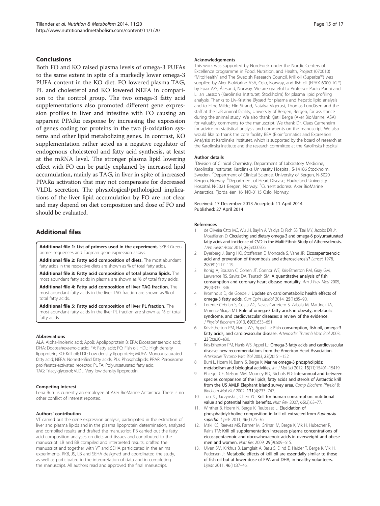## <span id="page-14-0"></span>Conclusions

Both FO and KO raised plasma levels of omega-3 PUFAs to the same extent in spite of a markedly lower omega-3 PUFA content in the KO diet. FO lowered plasma TAG, PL and cholesterol and KO lowered NEFA in comparison to the control group. The two omega-3 fatty acid supplementations also promoted different gene expression profiles in liver and intestine with FO causing an apparent PPARα response by increasing the expression of genes coding for proteins in the two β-oxidation systems and other lipid metabolizing genes. In contrast, KO supplementation rather acted as a negative regulator of endogenous cholesterol and fatty acid synthesis, at least at the mRNA level. The stronger plasma lipid lowering effect with FO can be partly explained by increased lipid accumulation, mainly as TAG, in liver in spite of increased PPARα activation that may not compensate for decreased VLDL secretion. The physiological/pathological implications of the liver lipid accumulation by FO are not clear and may depend on diet composition and dose of FO and should be evaluated.

## Additional files

[Additional file 1:](http://www.biomedcentral.com/content/supplementary/1743-7075-11-20-S1.pdf) List of primers used in the experiment. SYBR Green primer sequences and Taqman gene expression assays.

[Additional file 2:](http://www.biomedcentral.com/content/supplementary/1743-7075-11-20-S2.pdf) Fatty acid composition of diets. The most abundant fatty acids in the respective diets are shown as % of total fatty acids.

[Additional file 3:](http://www.biomedcentral.com/content/supplementary/1743-7075-11-20-S3.pdf) Fatty acid composition of total plasma lipids. The most abundant fatty acids in plasma are shown as % of total fatty acids.

[Additional file 4:](http://www.biomedcentral.com/content/supplementary/1743-7075-11-20-S4.pdf) Fatty acid composition of liver TAG fraction. The most abundant fatty acids in the liver TAG fraction are shown as % of total fatty acids.

[Additional file 5:](http://www.biomedcentral.com/content/supplementary/1743-7075-11-20-S5.pdf) Fatty acid composition of liver PL fraction. The most abundant fatty acids in the liver PL fraction are shown as % of total fatty acids.

#### Abbreviations

ALA: Alpha-linolenic acid; ApoB: Apolipoprotein B; EPA: Eicosapentaenoic acid; DHA: Docosahexaenoic acid; FA: Fatty acid; FO: Fish oil; HDL: High density lipoprotein; KO: Krill oil; LDL: Low density lipoprotein; MUFA: Monounsaturated fatty acid; NEFA: Nonesterified fatty acids; PLs: Phospholipids; PPAR: Peroxisome proliferator-activated receptor; PUFA: Polyunsaturated fatty acid; TAG: Triacylglycerol; VLDL: Very low density lipoprotein.

#### Competing interest

Lena Burri is currently an employee at Aker BioMarine Antarctica. There is no other conflict of interest reported.

#### Authors' contribution

VT carried out the gene expression analysis, participated in the extraction of liver and plasma lipids and in the plasma lipoprotein determination, analyzed and compiled results and drafted the manuscript. PB carried out the fatty acid composition analyses on diets and tissues and contributed to the manuscript. LB and BB compiled and interpreted results, drafted the manuscript and together with VT and SEHA participated in the animal experiments. RKB, JS, LB and SEHA designed and coordinated the study, as well as participated in the interpretation of data and in completing the manuscript. All authors read and approved the final manuscript.

#### Acknowledgements

This work was supported by NordForsk under the Nordic Centers of Excellence programme in Food, Nutrition, and Health, Project (070010) "MitoHealth" and The Swedish Research Council. Krill oil (Superba™) was supplied by Aker BioMarine ASA, Oslo, Norway, and fish oil (EPAX 6000 TG™) by Epax A/S, Ålesund, Norway. We are grateful to Professor Paolo Parini and Lilian Larsson (Karolinska Institutet, Stockholm) for plasma lipid profiling analysis. Thanks to Liv-Kristine Øysæd for plasma and hepatic lipid analysis and to Eline Milde, Elin Strand, Natalya Vigerust, Thomas Lundåsen and the staff at the UiB animal facility, University of Bergen, Bergen, for assistance during the animal study. We also thank Kjetil Berge (Aker BioMarine, ASA) for valuably comments to the manuscript. We thank Dr. Claes Carneheim for advice on statistical analysis and comments on the manuscript. We also would like to thank the core facility BEA (Bioinformatics and Expression Analysis) at Karolinska Institutet, which is supported by the board of research at the Karolinska Institute and the research committee at the Karolinska hospital.

#### Author details

<sup>1</sup> Division of Clinical Chemistry, Department of Laboratory Medicine, Karolinska Institutet, Karolinska University Hospital, S-14186 Stockholm, Sweden. <sup>2</sup> Department of Clinical Science, University of Bergen, N-5020 Bergen, Norway. <sup>3</sup>Department of Heart Disease, Haukeland University Hospital, N-5021 Bergen, Norway. <sup>4</sup>Current address: Aker BioMarine Antarctica, Fjordalléen 16, NO-0115 Oslo, Norway.

#### Received: 17 December 2013 Accepted: 11 April 2014 Published: 27 April 2014

#### References

- 1. de Oliveira Otto MC, Wu JH, Baylin A, Vaidya D, Rich SS, Tsai MY, Jacobs DR Jr, Mozaffarian D: Circulating and dietary omega-3 and omega-6 polyunsaturated fatty acids and incidence of CVD in the Multi-Ethnic Study of Atherosclerosis. J Am Heart Assoc 2013, 2(6):e000506.
- 2. Dyerberg J, Bang HO, Stoffersen E, Moncada S, Vane JR: Eicosapentaenoic acid and prevention of thrombosis and atherosclerosis? Lancet 1978, 2(8081):117–119.
- 3. Konig A, Bouzan C, Cohen JT, Connor WE, Kris-Etherton PM, Gray GM, Lawrence RS, Savitz DA, Teutsch SM: A quantitative analysis of fish consumption and coronary heart disease mortality. Am J Prev Med 2005, 29(4):335–346.
- 4. Kromhout D, de Goede J: Update on cardiometabolic health effects of omega-3 fatty acids. Curr Opin Lipidol 2014, 25(1):85–90.
- 5. Lorente-Cebrian S, Costa AG, Navas-Carretero S, Zabala M, Martinez JA, Moreno-Aliaga MJ: Role of omega-3 fatty acids in obesity, metabolic syndrome, and cardiovascular diseases: a review of the evidence. J Physiol Biochem 2013, 69(3):633–651.
- 6. Kris-Etherton PM, Harris WS, Appel LJ: Fish consumption, fish oil, omega-3 fatty acids, and cardiovascular disease. Arterioscler Thromb Vasc Biol 2003, 23(2):e20–e30.
- 7. Kris-Etherton PM, Harris WS, Appel LJ: Omega-3 fatty acids and cardiovascular disease: new recommendations from the American Heart Association. Arterioscler Thromb Vasc Biol 2003, 23(2):151–152.
- 8. Burri L, Hoem N, Banni S, Berge K: Marine omega-3 phospholipids: metabolism and biological activities. Int J Mol Sci 2012, 13(11):15401-15419.
- 9. Phleger CF, Nelson MM, Mooney BD, Nichols PD: Interannual and between species comparison of the lipids, fatty acids and sterols of Antarctic krill from the US AMLR Elephant Island survey area. Comp Biochem Physiol B: Biochem Mol Biol 2002, 131(4):733–747.
- 10. Tou JC, Jaczynski J, Chen YC: Krill for human consumption: nutritional value and potential health benefits. Nutr Rev 2007, 65(2):63–77.
- 11. Winther B, Hoem N, Berge K, Reubsaet L: Elucidation of phosphatidylcholine composition in krill oil extracted from Euphausia superba. Lipids 2011, 46(1):25-36.
- 12. Maki KC, Reeves MS, Farmer M, Griinari M, Berge K, Vik H, Hubacher R, Rains TM: Krill oil supplementation increases plasma concentrations of eicosapentaenoic and docosahexaenoic acids in overweight and obese men and women. Nutr Res 2009, 29(9):609–615.
- 13. Ulven SM, Kirkhus B, Lamglait A, Basu S, Elind E, Haider T, Berge K, Vik H, Pedersen JI: Metabolic effects of krill oil are essentially similar to those of fish oil but at lower dose of EPA and DHA, in healthy volunteers. Lipids 2011, 46(1):37–46.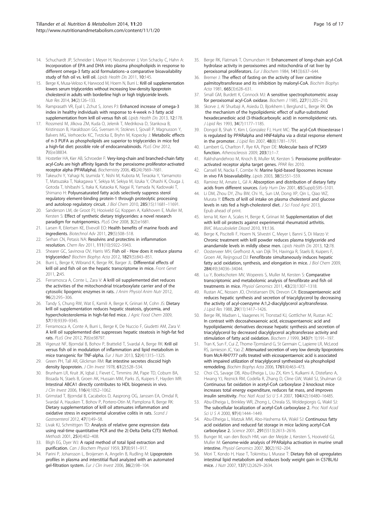- <span id="page-15-0"></span>14. Schuchardt JP, Schneider I, Meyer H, Neubronner J, Von Schacky C, Hahn A: Incorporation of EPA and DHA into plasma phospholipids in response to different omega-3 fatty acid formulations–a comparative bioavailability study of fish oil vs. krill oil. Lipids Health Dis 2011, 10:145.
- 15. Berge K, Musa-Veloso K, Harwood M, Hoem N, Burri L: Krill oil supplementation lowers serum triglycerides without increasing low-density lipoprotein cholesterol in adults with borderline high or high triglyceride levels. Nutr Res 2014, 34(2):126–133.
- 16. Ramprasath VR, Eyal I, Zchut S, Jones PJ: Enhanced increase of omega-3 index in healthy individuals with response to 4-week n-3 fatty acid supplementation from krill oil versus fish oil. Lipids Health Dis 2013, 12:178.
- 17. Rossmeisl M, Jilkova ZM, Kuda O, Jelenik T, Medrikova D, Stankova B, Kristinsson B, Haraldsson GG, Svensen H, Stoknes I, Sjovall P, Magnusson Y, Balvers MG, Verhoeckx KC, Tvrzicka E, Bryhn M, Kopecky J: Metabolic effects of n-3 PUFA as phospholipids are superior to triglycerides in mice fed a high-fat diet: possible role of endocannabinoids. PLoS One 2012, 7(6):e38834.
- 18. Hostetler HA, Kier AB, Schroeder F: Very-long-chain and branched-chain fatty acyl-CoAs are high affinity ligands for the peroxisome proliferator-activated receptor alpha (PPARalpha). Biochemistry 2006, 45(24):7669–7681.
- 19. Takeuchi Y, Yahagi N, Izumida Y, Nishi M, Kubota M, Teraoka Y, Yamamoto T, Matsuzaka T, Nakagawa Y, Sekiya M, Sekiya M, Iizuka Y, Ohashi K, Osuga J, Gotoda T, Ishibashi S, Itaka K, Kataoka K, Nagai R, Yamada N, Kadowaki T, Shimano H: Polyunsaturated fatty acids selectively suppress sterol regulatory element-binding protein-1 through proteolytic processing and autoloop regulatory circuit. J Biol Chem 2010, 285(15):11681–11691.
- 20. Sanderson LM, de Groot PJ, Hooiveld GJ, Koppen A, Kalkhoven E, Muller M, Kersten S: Effect of synthetic dietary triglycerides: a novel research paradigm for nutrigenomics. PLoS One 2008, 3(2):e1681
- 21. Larsen R, Eilertsen KE, Elvevoll EO: Health benefits of marine foods and ingredients. Biotechnol Adv 2011, 29(5):508–518.
- 22. Serhan CN, Petasis NA: Resolvins and protectins in inflammation resolution. Chem Rev 2011, 111(10):5922–5943.
- 23. Shearer GC, Savinova OV, Harris WS: Fish oil How does it reduce plasma triglycerides? Biochim Biophys Acta 2012, 1821(5):843–851.
- 24. Burri L, Berge K, Wibrand K, Berge RK, Barger JL: Differential effects of krill oil and fish oil on the hepatic transcriptome in mice. Front Genet 2011, 2:45.
- 25. Ferramosca A, Conte L, Zara V: A krill oil supplemented diet reduces the activities of the mitochondrial tricarboxylate carrier and of the cytosolic lipogenic enzymes in rats. J Anim Physiol Anim Nutr 2012, 96(2):295–306.
- 26. Tandy S, Chung RW, Wat E, Kamili A, Berge K, Griinari M, Cohn JS: Dietary krill oil supplementation reduces hepatic steatosis, glycemia, and hypercholesterolemia in high-fat-fed mice. J Agric Food Chem 2009, 57(19):9339–9345.
- 27. Ferramosca A, Conte A, Burri L, Berge K, De Nuccio F, Giudetti AM, Zara V: A krill oil supplemented diet suppresses hepatic steatosis in high-fat fed rats. PLoS One 2012, 7(6):e38797.
- 28. Vigerust NF, Bjorndal B, Bohov P, Brattelid T, Svardal A, Berge RK: Krill oil versus fish oil in modulation of inflammation and lipid metabolism in mice transgenic for TNF-alpha. Eur J Nutr 2013, 52(4):1315–1325.
- 29. Green PH, Tall AR, Glickman RM: Rat intestine secretes discoid high density lipoprotein. J Clin Invest 1978, 61(2):528-534.
- 30. Brunham LR, Kruit JK, Iqbal J, Fievet C, Timmins JM, Pape TD, Coburn BA, Bissada N, Staels B, Groen AK, Hussain MM, Parks JS, Kuipers F, Hayden MR: Intestinal ABCA1 directly contributes to HDL biogenesis in vivo. J Clin Invest 2006, 116(4):1052–1062.
- 31. Grimstad T, Bjorndal B, Cacabelos D, Aasprong OG, Janssen EA, Omdal R, Svardal A, Hausken T, Bohov P, Portero-Otin M, Pamplona R, Berge RK: Dietary supplementation of krill oil attenuates inflammation and oxidative stress in experimental ulcerative colitis in rats. Scand J Gastroenterol 2012, 47(1):49–58.
- 32. Livak KJ, Schmittgen TD: Analysis of relative gene expression data using real-time quantitative PCR and the 2(-Delta Delta C(T)) Method. Methods 2001, 25(4):402–408.
- 33. Bligh EG, Dyer WJ: A rapid method of total lipid extraction and purification. Can J Biochem Physiol 1959, 37(8):911-917.
- 34. Parini P, Johansson L, Broijersen A, Angelin B, Rudling M: Lipoprotein profiles in plasma and interstitial fluid analyzed with an automated gel-filtration system. Eur J Clin Invest 2006, 36(2):98-104.
- 35. Berge RK, Flatmark T, Osmundsen H: Enhancement of long-chain acyl-CoA hydrolase activity in peroxisomes and mitochondria of rat liver by peroxisomal proliferators. Eur J Biochem 1984, 141(3):637–644.
- 36. Bremer J: The effect of fasting on the activity of liver carnitine palmitoyltransferase and its inhibition by malonyl-CoA. Biochim Biophys Acta 1981, 665(3):628-631.
- 37. Small GM, Burdett K, Connock MJ: A sensitive spectrophotometric assay for peroxisomal acyl-CoA oxidase. Biochem J 1985, 227(1):205-210.
- 38. Skorve J, Al Shurbaji A, Asiedu D, Bjorkhem I, Berglund L, Berge RK: On the mechanism of the hypolipidemic effect of sulfur-substituted hexadecanedioic acid (3-thiadicarboxylic acid) in normolipidemic rats. J Lipid Res 1993, 34(7):1177–1185.
- 39. Dongol B, Shah Y, Kim I, Gonzalez FJ, Hunt MC: The acyl-CoA thioesterase I is regulated by PPARalpha and HNF4alpha via a distal response element in the promoter. J Lipid Res 2007, 48(8):1781–1791.
- 40. Lambert G, Charlton F, Rye KA, Piper DE: Molecular basis of PCSK9 function. Atherosclerosis 2009, 203(1):1-7.
- 41. Rakhshandehroo M, Knoch B, Muller M, Kersten S: Peroxisome proliferatoractivated receptor alpha target genes. PPAR Res 2010.
- 42. Cansell M, Nacka F, Combe N: Marine lipid-based liposomes increase in vivo FA bioavailability. Lipids 2003, 38(5):551-559.
- 43. Ramirez M, Amate L, Gil A: Absorption and distribution of dietary fatty acids from different sources. Early Hum Dev 2001, 65(Suppl):S95-S101.
- 44. Li DM, Zhou DY, Zhu BW, Chi YL, Sun LM, Dong XP, Qin L, Qiao WZ, Murata Y: Effects of krill oil intake on plasma cholesterol and glucose levels in rats fed a high-cholesterol diet. J Sci Food Agric 2013, Epub ahead of print.
- 45. Ierna M, Kerr A, Scales H, Berge K, Griinari M: Supplementation of diet with krill oil protects against experimental rheumatoid arthritis. BMC Musculoskelet Disord 2010, 11:136.
- 46. Berge K, Piscitelli F, Hoem N, Silvestri C, Meyer I, Banni S, Di Marzo V: Chronic treatment with krill powder reduces plasma triglyceride and anandamide levels in mildly obese men. Lipids Health Dis 2013, 12:78.
- 47. Oosterveer MH, Grefhorst A, van Dijk TH, Havinga R, Staels B, Kuipers F, Groen AK, Reijngoud DJ: Fenofibrate simultaneously induces hepatic fatty acid oxidation, synthesis, and elongation in mice. J Biol Chem 2009, 284(49):34036–34044.
- 48. Lu Y, Boekschoten MV, Wopereis S, Muller M, Kersten S: Comparative transcriptomic and metabolomic analysis of fenofibrate and fish oil treatments in mice. Physiol Genomics 2011, 43(23):1307–1318.
- 49. Rustan AC, Nossen JO, Christiansen EN, Drevon CA: Eicosapentaenoic acid reduces hepatic synthesis and secretion of triacylglycerol by decreasing the activity of acyl-coenzyme A:1,2-diacylglycerol acyltransferase. J Lipid Res 1988, 29(11):1417–1426.
- 50. Berge RK, Madsen L, Vaagenes H, Tronstad KJ, Gottlicher M, Rustan AC: In contrast with docosahexaenoic acid, eicosapentaenoic acid and hypolipidaemic derivatives decrease hepatic synthesis and secretion of triacylglycerol by decreased diacylglycerol acyltransferase activity and stimulation of fatty acid oxidation. Biochem J 1999, 343(Pt 1):191–197.
- 51. Tran K, Sun F, Cui Z, Thorne-Tjomsland G, St Germain C, Lapierre LR, McLeod RS, Jamieson JC, Yao Z: Attenuated secretion of very low density lipoproteins from McA-RH7777 cells treated with eicosapentaenoic acid is associated with impaired utilization of triacylglycerol synthesized via phospholipid remodeling. Biochim Biophys Acta 2006, 1761(4):463–473.
- 52. Choi CS, Savage DB, Abu-Elheiga L, Liu ZX, Kim S, Kulkarni A, Distefano A, Hwang YJ, Reznick RM, Codella R, Zhang D, Cline GW, Wakil SJ, Shulman GI: Continuous fat oxidation in acetyl-CoA carboxylase 2 knockout mice increases total energy expenditure, reduces fat mass, and improves insulin sensitivity. Proc Natl Acad Sci U S A 2007, 104(42):16480–16485.
- 53. Abu-Elheiga L, Brinkley WR, Zhong L, Chirala SS, Woldegiorgis G, Wakil SJ: The subcellular localization of acetyl-CoA carboxylase 2. Proc Natl Acad Sci U S A 2000, 97(4):1444–1449.
- 54. Abu-Elheiga L, Matzuk MM, Abo-Hashema KA, Wakil SJ: Continuous fatty acid oxidation and reduced fat storage in mice lacking acetyl-CoA carboxylase 2. Science 2001, 291(5513):2613–2616.
- 55. Bunger M, van den Bosch HM, van der Meijde J, Kersten S, Hooiveld GJ, Muller M: Genome-wide analysis of PPARalpha activation in murine small intestine. Physiol Genomics 2007, 30(2):192–204.
- 56. Mori T, Kondo H, Hase T, Tokimitsu I, Murase T: Dietary fish oil upregulates intestinal lipid metabolism and reduces body weight gain in C57BL/6J mice. J Nutr 2007, 137(12):2629–2634.